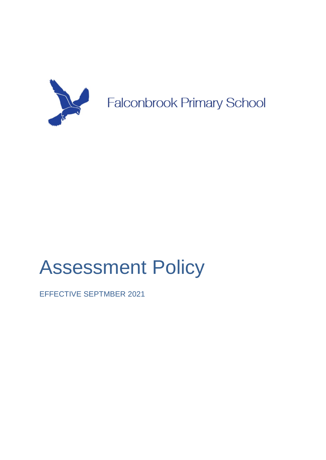

# Assessment Policy

EFFECTIVE SEPTMBER 2021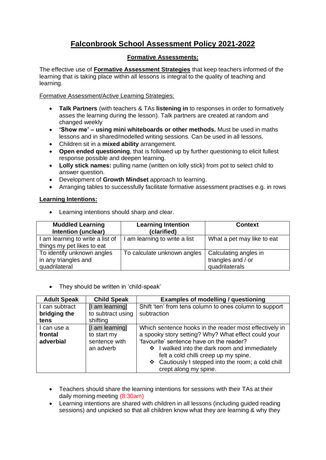# **Falconbrook School Assessment Policy 2021-2022**

# **Formative Assessments:**

The effective use of **Formative Assessment Strategies** that keep teachers informed of the learning that is taking place within all lessons is integral to the quality of teaching and learning.

Formative Assessment/Active Learning Strategies:

- **Talk Partners** (with teachers & TAs **listening in** to responses in order to formatively asses the learning during the lesson). Talk partners are created at random and changed weekly
- **'Show me' – using mini whiteboards or other methods.** Must be used in maths lessons and in shared/modelled writing sessions. Can be used in all lessons.
- Children sit in a **mixed ability** arrangement.
- **Open ended questioning**, that is followed up by further questioning to elicit fullest response possible and deepen learning.
- **Lolly stick names:** pulling name (written on lolly stick) from pot to select child to answer question.
- Development of **Growth Mindset** approach to learning.
- Arranging tables to successfully facilitate formative assessment practises e.g. in rows

## **Learning Intentions:**

• Learning intentions should sharp and clear.

| <b>Muddled Learning</b><br>Intention (unclear)                      | <b>Learning Intention</b><br>(clarified) | <b>Context</b>                                                |
|---------------------------------------------------------------------|------------------------------------------|---------------------------------------------------------------|
| I am learning to write a list of<br>things my pet likes to eat      | am learning to write a list              | What a pet may like to eat                                    |
| To identify unknown angles<br>in any triangles and<br>quadrilateral | To calculate unknown angles              | Calculating angles in<br>triangles and / or<br>quadrilaterals |

• They should be written in 'child-speak'

| <b>Adult Speak</b> | <b>Child Speak</b> | <b>Examples of modelling / questioning</b>             |
|--------------------|--------------------|--------------------------------------------------------|
| I can subtract     | [I am learning]    | Shift 'ten' from tens column to ones column to support |
| bridging the       | to subtract using  | subtraction                                            |
| tens               | shifting           |                                                        |
| I can use a        | [I am learning]    | Which sentence hooks in the reader most effectively in |
| frontal            | to start my        | a spooky story setting? Why? What effect could your    |
| adverbial          | sentence with      | 'favourite' sentence have on the reader?               |
|                    | an adverb          | ❖ I walked into the dark room and immediately          |
|                    |                    | felt a cold chilli creep up my spine.                  |
|                    |                    | ❖ Cautiously I stepped into the room; a cold chill     |
|                    |                    | crept along my spine.                                  |

- Teachers should share the learning intentions for sessions with their TAs at their daily morning meeting (8:30am)
- Learning intentions are shared with children in all lessons (including guided reading sessions) and unpicked so that all children know what they are learning & why they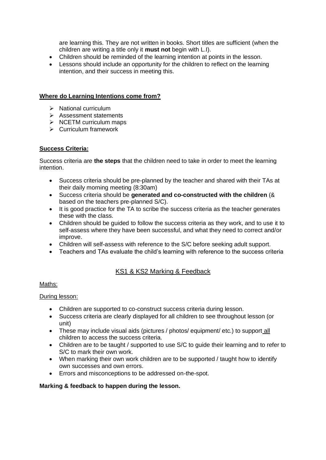are learning this. They are not written in books. Short titles are sufficient (when the children are writing a title only it **must not** begin with L.I).

- Children should be reminded of the learning intention at points in the lesson.
- Lessons should include an opportunity for the children to reflect on the learning intention, and their success in meeting this.

## **Where do Learning Intentions come from?**

- ➢ National curriculum
- ➢ Assessment statements
- ➢ NCETM curriculum maps
- ➢ Curriculum framework

#### **Success Criteria:**

Success criteria are **the steps** that the children need to take in order to meet the learning intention.

- Success criteria should be pre-planned by the teacher and shared with their TAs at their daily morning meeting (8:30am)
- Success criteria should be **generated and co-constructed with the children** (& based on the teachers pre-planned S/C).
- It is good practice for the TA to scribe the success criteria as the teacher generates these with the class.
- Children should be guided to follow the success criteria as they work, and to use it to self-assess where they have been successful, and what they need to correct and/or improve.
- Children will self-assess with reference to the S/C before seeking adult support.
- Teachers and TAs evaluate the child's learning with reference to the success criteria

# KS1 & KS2 Marking & Feedback

Maths:

#### During lesson:

- Children are supported to co-construct success criteria during lesson.
- Success criteria are clearly displayed for all children to see throughout lesson (or unit)
- These may include visual aids (pictures / photos/ equipment/ etc.) to support all children to access the success criteria.
- Children are to be taught / supported to use S/C to quide their learning and to refer to S/C to mark their own work.
- When marking their own work children are to be supported / taught how to identify own successes and own errors.
- Errors and misconceptions to be addressed on-the-spot.

## **Marking & feedback to happen during the lesson.**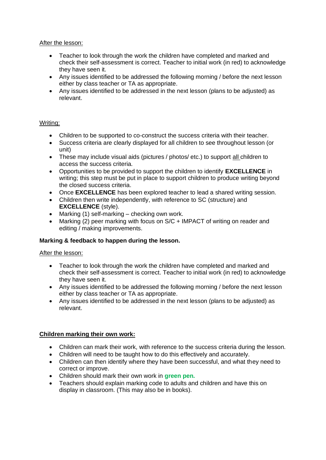After the lesson:

- Teacher to look through the work the children have completed and marked and check their self-assessment is correct. Teacher to initial work (in red) to acknowledge they have seen it.
- Any issues identified to be addressed the following morning / before the next lesson either by class teacher or TA as appropriate.
- Any issues identified to be addressed in the next lesson (plans to be adjusted) as relevant.

#### Writing:

- Children to be supported to co-construct the success criteria with their teacher.
- Success criteria are clearly displayed for all children to see throughout lesson (or unit)
- These may include visual aids (pictures / photos/ etc.) to support all children to access the success criteria.
- Opportunities to be provided to support the children to identify **EXCELLENCE** in writing; this step must be put in place to support children to produce writing beyond the closed success criteria.
- Once **EXCELLENCE** has been explored teacher to lead a shared writing session.
- Children then write independently, with reference to SC (structure) and **EXCELLENCE** (style).
- Marking (1) self-marking checking own work.
- Marking (2) peer marking with focus on S/C + IMPACT of writing on reader and editing / making improvements.

## **Marking & feedback to happen during the lesson.**

After the lesson:

- Teacher to look through the work the children have completed and marked and check their self-assessment is correct. Teacher to initial work (in red) to acknowledge they have seen it.
- Any issues identified to be addressed the following morning / before the next lesson either by class teacher or TA as appropriate.
- Any issues identified to be addressed in the next lesson (plans to be adjusted) as relevant.

## **Children marking their own work:**

- Children can mark their work, with reference to the success criteria during the lesson.
- Children will need to be taught how to do this effectively and accurately.
- Children can then identify where they have been successful, and what they need to correct or improve.
- Children should mark their own work in **green pen.**
- Teachers should explain marking code to adults and children and have this on display in classroom. (This may also be in books).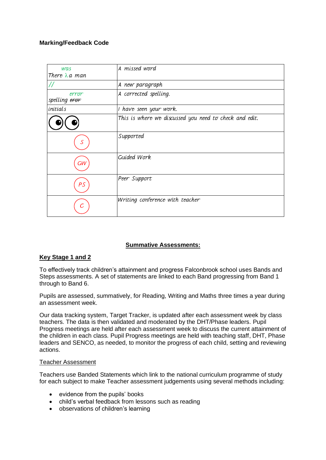## **Marking/Feedback Code**

| was                    | A missed word                                          |
|------------------------|--------------------------------------------------------|
| There $\lambda$ a man  |                                                        |
| $\prime\prime$         | A new paragraph                                        |
| error<br>spelling eror | A corrected spelling.                                  |
| initials               | I have seen your work.                                 |
|                        | This is where we discussed you need to check and edit. |
|                        | Supported                                              |
| GW                     | Guided Work                                            |
| PS                     | Peer Support                                           |
|                        | Writing conference with teacher                        |

## **Summative Assessments:**

# **Key Stage 1 and 2**

To effectively track children's attainment and progress Falconbrook school uses Bands and Steps assessments. A set of statements are linked to each Band progressing from Band 1 through to Band 6.

Pupils are assessed, summatively, for Reading, Writing and Maths three times a year during an assessment week.

Our data tracking system, Target Tracker, is updated after each assessment week by class teachers. The data is then validated and moderated by the DHT/Phase leaders. Pupil Progress meetings are held after each assessment week to discuss the current attainment of the children in each class. Pupil Progress meetings are held with teaching staff, DHT, Phase leaders and SENCO, as needed, to monitor the progress of each child, setting and reviewing actions.

## Teacher Assessment

Teachers use Banded Statements which link to the national curriculum programme of study for each subject to make Teacher assessment judgements using several methods including:

- evidence from the pupils' books
- child's verbal feedback from lessons such as reading
- observations of children's learning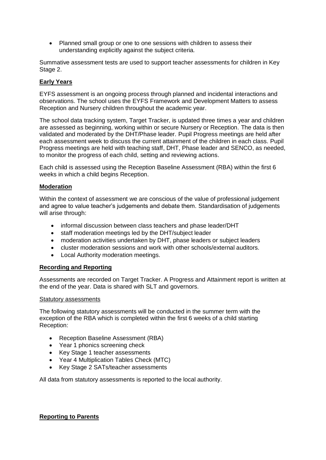• Planned small group or one to one sessions with children to assess their understanding explicitly against the subject criteria.

Summative assessment tests are used to support teacher assessments for children in Key Stage 2.

# **Early Years**

EYFS assessment is an ongoing process through planned and incidental interactions and observations. The school uses the EYFS Framework and Development Matters to assess Reception and Nursery children throughout the academic year.

The school data tracking system, Target Tracker, is updated three times a year and children are assessed as beginning, working within or secure Nursery or Reception. The data is then validated and moderated by the DHT/Phase leader. Pupil Progress meetings are held after each assessment week to discuss the current attainment of the children in each class. Pupil Progress meetings are held with teaching staff, DHT, Phase leader and SENCO, as needed, to monitor the progress of each child, setting and reviewing actions.

Each child is assessed using the Reception Baseline Assessment (RBA) within the first 6 weeks in which a child begins Reception.

#### **Moderation**

Within the context of assessment we are conscious of the value of professional judgement and agree to value teacher's judgements and debate them. Standardisation of judgements will arise through:

- informal discussion between class teachers and phase leader/DHT
- staff moderation meetings led by the DHT/subject leader
- moderation activities undertaken by DHT, phase leaders or subject leaders
- cluster moderation sessions and work with other schools/external auditors.
- Local Authority moderation meetings.

#### **Recording and Reporting**

Assessments are recorded on Target Tracker. A Progress and Attainment report is written at the end of the year. Data is shared with SLT and governors.

#### Statutory assessments

The following statutory assessments will be conducted in the summer term with the exception of the RBA which is completed within the first 6 weeks of a child starting Reception:

- Reception Baseline Assessment (RBA)
- Year 1 phonics screening check
- Key Stage 1 teacher assessments
- Year 4 Multiplication Tables Check (MTC)
- Key Stage 2 SATs/teacher assessments

All data from statutory assessments is reported to the local authority.

## **Reporting to Parents**